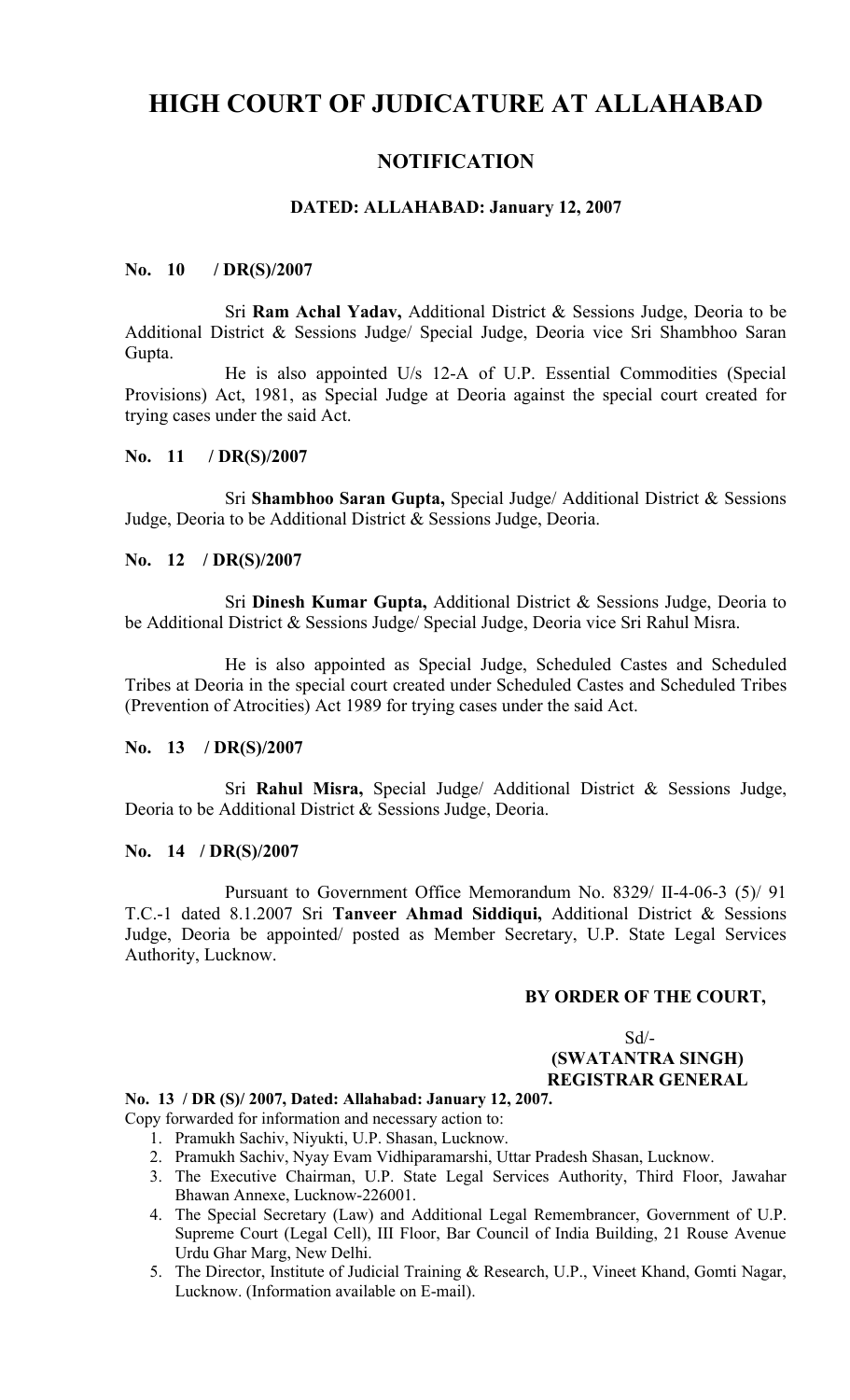# **HIGH COURT OF JUDICATURE AT ALLAHABAD**

## **NOTIFICATION**

## **DATED: ALLAHABAD: January 12, 2007**

## **No. 10 / DR(S)/2007**

Sri **Ram Achal Yadav,** Additional District & Sessions Judge, Deoria to be Additional District & Sessions Judge/ Special Judge, Deoria vice Sri Shambhoo Saran Gupta.

He is also appointed U/s 12-A of U.P. Essential Commodities (Special Provisions) Act, 1981, as Special Judge at Deoria against the special court created for trying cases under the said Act.

## **No. 11 / DR(S)/2007**

Sri **Shambhoo Saran Gupta,** Special Judge/ Additional District & Sessions Judge, Deoria to be Additional District & Sessions Judge, Deoria.

## **No. 12 / DR(S)/2007**

Sri **Dinesh Kumar Gupta,** Additional District & Sessions Judge, Deoria to be Additional District & Sessions Judge/ Special Judge, Deoria vice Sri Rahul Misra.

He is also appointed as Special Judge, Scheduled Castes and Scheduled Tribes at Deoria in the special court created under Scheduled Castes and Scheduled Tribes (Prevention of Atrocities) Act 1989 for trying cases under the said Act.

## **No. 13 / DR(S)/2007**

Sri **Rahul Misra,** Special Judge/ Additional District & Sessions Judge, Deoria to be Additional District & Sessions Judge, Deoria.

#### **No. 14 / DR(S)/2007**

Pursuant to Government Office Memorandum No. 8329/ II-4-06-3 (5)/ 91 T.C.-1 dated 8.1.2007 Sri **Tanveer Ahmad Siddiqui,** Additional District & Sessions Judge, Deoria be appointed/ posted as Member Secretary, U.P. State Legal Services Authority, Lucknow.

## **BY ORDER OF THE COURT,**

 $Sd$ <sup>-</sup>

#### **(SWATANTRA SINGH) REGISTRAR GENERAL**

#### **No. 13 / DR (S)/ 2007, Dated: Allahabad: January 12, 2007.**

Copy forwarded for information and necessary action to:

- 1. Pramukh Sachiv, Niyukti, U.P. Shasan, Lucknow.
- 2. Pramukh Sachiv, Nyay Evam Vidhiparamarshi, Uttar Pradesh Shasan, Lucknow.
- 3. The Executive Chairman, U.P. State Legal Services Authority, Third Floor, Jawahar Bhawan Annexe, Lucknow-226001.
- 4. The Special Secretary (Law) and Additional Legal Remembrancer, Government of U.P. Supreme Court (Legal Cell), III Floor, Bar Council of India Building, 21 Rouse Avenue Urdu Ghar Marg, New Delhi.
- 5. The Director, Institute of Judicial Training & Research, U.P., Vineet Khand, Gomti Nagar, Lucknow. (Information available on E-mail).